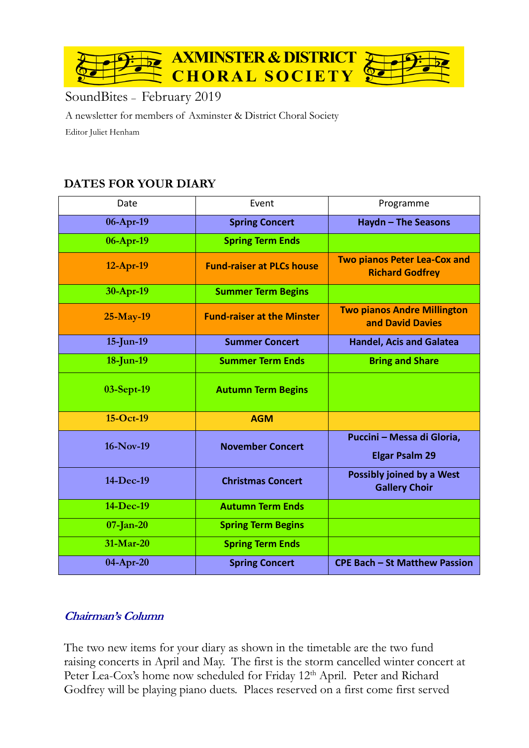

# SoundBites – February 2019

A newsletter for members of Axminster & District Choral Society Editor Juliet Henham

# **DATES FOR YOUR DIARY**

| Date         | Event                             | Programme                                                     |
|--------------|-----------------------------------|---------------------------------------------------------------|
| 06-Apr-19    | <b>Spring Concert</b>             | Haydn - The Seasons                                           |
| 06-Apr-19    | <b>Spring Term Ends</b>           |                                                               |
| $12-Apr-19$  | <b>Fund-raiser at PLCs house</b>  | <b>Two pianos Peter Lea-Cox and</b><br><b>Richard Godfrey</b> |
| 30-Apr-19    | <b>Summer Term Begins</b>         |                                                               |
| 25-May-19    | <b>Fund-raiser at the Minster</b> | <b>Two pianos Andre Millington</b><br>and David Davies        |
| 15-Jun-19    | <b>Summer Concert</b>             | <b>Handel, Acis and Galatea</b>                               |
| 18-Jun-19    | <b>Summer Term Ends</b>           | <b>Bring and Share</b>                                        |
| 03-Sept-19   | <b>Autumn Term Begins</b>         |                                                               |
| $15-Oct-19$  | <b>AGM</b>                        |                                                               |
| 16-Nov-19    | <b>November Concert</b>           | Puccini - Messa di Gloria,<br><b>Elgar Psalm 29</b>           |
| 14-Dec-19    | <b>Christmas Concert</b>          | Possibly joined by a West<br><b>Gallery Choir</b>             |
| 14-Dec-19    | <b>Autumn Term Ends</b>           |                                                               |
| $07$ -Jan-20 | <b>Spring Term Begins</b>         |                                                               |
| 31-Mar-20    | <b>Spring Term Ends</b>           |                                                               |
| $04$ -Apr-20 | <b>Spring Concert</b>             | <b>CPE Bach - St Matthew Passion</b>                          |

### **Chairman's Column**

The two new items for your diary as shown in the timetable are the two fund raising concerts in April and May. The first is the storm cancelled winter concert at Peter Lea-Cox's home now scheduled for Friday 12<sup>th</sup> April. Peter and Richard Godfrey will be playing piano duets. Places reserved on a first come first served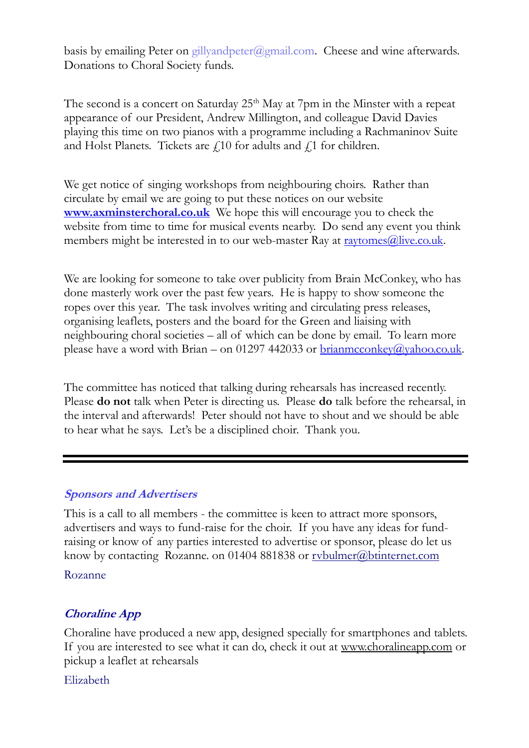basis by emailing Peter on gillyandpeter@gmail.com. Cheese and wine afterwards. Donations to Choral Society funds.

The second is a concert on Saturday  $25<sup>th</sup>$  May at 7pm in the Minster with a repeat appearance of our President, Andrew Millington, and colleague David Davies playing this time on two pianos with a programme including a Rachmaninov Suite and Holst Planets. Tickets are  $f$  10 for adults and  $f$  1 for children.

We get notice of singing workshops from neighbouring choirs. Rather than circulate by email we are going to put these notices on our website **[www.axminsterchoral.co.uk](http://www.axminsterchoral.co.uk/)** We hope this will encourage you to check the website from time to time for musical events nearby. Do send any event you think members might be interested in to our web-master Ray at  $\frac{r}{2}$  raytomes $\omega$ live.co.uk.

We are looking for someone to take over publicity from Brain McConkey, who has done masterly work over the past few years. He is happy to show someone the ropes over this year. The task involves writing and circulating press releases, organising leaflets, posters and the board for the Green and liaising with neighbouring choral societies – all of which can be done by email. To learn more please have a word with Brian – on 01297 442033 or  $\frac{binamcconkey(a)yahoococ.uk}{}$ .

The committee has noticed that talking during rehearsals has increased recently. Please **do not** talk when Peter is directing us. Please **do** talk before the rehearsal, in the interval and afterwards! Peter should not have to shout and we should be able to hear what he says. Let's be a disciplined choir. Thank you.

### **Sponsors and Advertisers**

This is a call to all members - the committee is keen to attract more sponsors, advertisers and ways to fund-raise for the choir. If you have any ideas for fundraising or know of any parties interested to advertise or sponsor, please do let us know by contacting Rozanne. on 01404 881838 or rybulmer@btinternet.com

#### Rozanne

### **Choraline App**

Choraline have produced a new app, designed specially for smartphones and tablets. If you are interested to see what it can do, check it out at [www.choralineapp.com](http://www.choralineapp.com/) or pickup a leaflet at rehearsals

Elizabeth